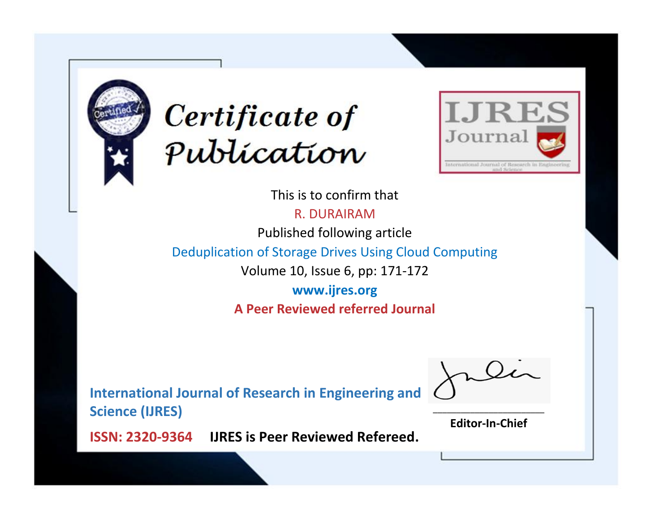



This is to confirm that

R. DURAIRAM

Published following article

Deduplication of Storage Drives Using Cloud Computing

Volume 10, Issue 6, pp: 171-172

**www.ijres.org A Peer Reviewed referred Journal**

**International Journal of Research in Engineering and Science (IJRES)**

\_\_\_\_\_\_\_\_\_\_\_\_\_\_\_\_\_\_\_\_\_\_\_\_ **Editor-In-Chief**

**Journal.**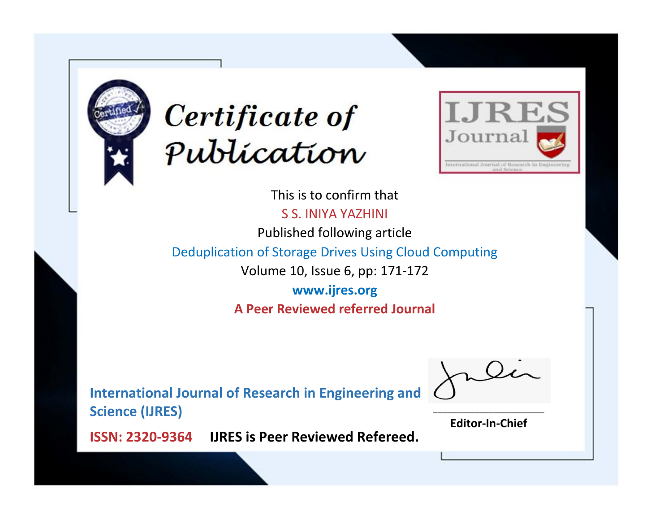



This is to confirm that S S. INIYA YAZHINI Published following article

Deduplication of Storage Drives Using Cloud Computing

Volume 10, Issue 6, pp: 171-172

**www.ijres.org A Peer Reviewed referred Journal**

**International Journal of Research in Engineering and Science (IJRES)**

\_\_\_\_\_\_\_\_\_\_\_\_\_\_\_\_\_\_\_\_\_\_\_\_ **Editor-In-Chief**

**Journal.**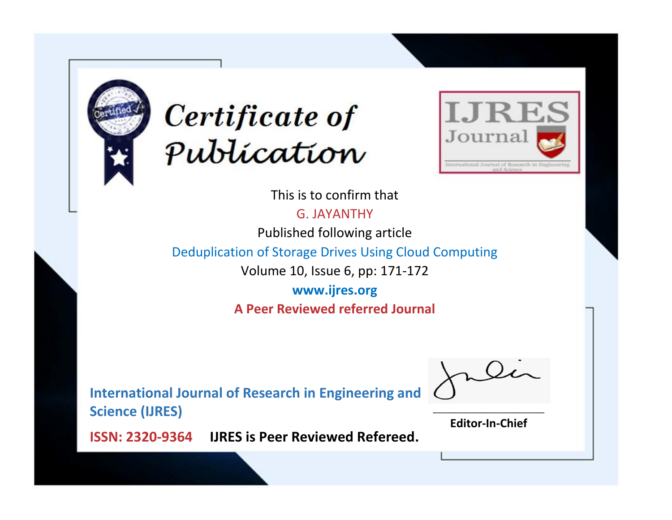



This is to confirm that

G. JAYANTHY

Published following article

Deduplication of Storage Drives Using Cloud Computing

Volume 10, Issue 6, pp: 171-172

**www.ijres.org A Peer Reviewed referred Journal**

**International Journal of Research in Engineering and Science (IJRES)**

\_\_\_\_\_\_\_\_\_\_\_\_\_\_\_\_\_\_\_\_\_\_\_\_ **Editor-In-Chief**

**Journal.**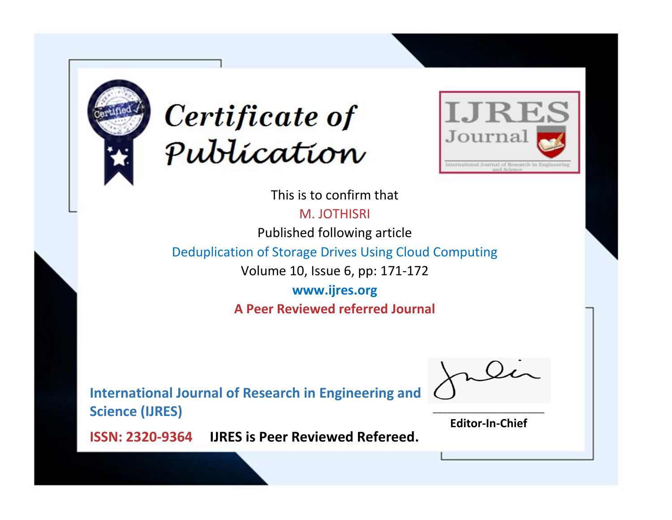



This is to confirm that

M. JOTHISRI

Published following article

Deduplication of Storage Drives Using Cloud Computing

Volume 10, Issue 6, pp: 171-172

**www.ijres.org A Peer Reviewed referred Journal**

**International Journal of Research in Engineering and Science (IJRES)**

\_\_\_\_\_\_\_\_\_\_\_\_\_\_\_\_\_\_\_\_\_\_\_\_ **Editor-In-Chief**

**Journal.**